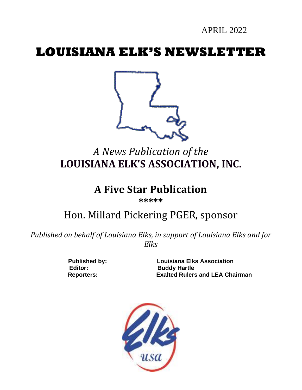APRIL 2022

# **LOUISIANA ELK'S NEWSLETTER**



# *A News Publication of the* **LOUISIANA ELK'S ASSOCIATION, INC.**

# **A Five Star Publication**

**\*\*\*\*\***

# Hon. Millard Pickering PGER, sponsor

*Published on behalf of Louisiana Elks, in support of Louisiana Elks and for Elks*

Editor: Buddy Hartle

**Published by: Louisiana Elks Association Reporters: Exalted Rulers and LEA Chairman**

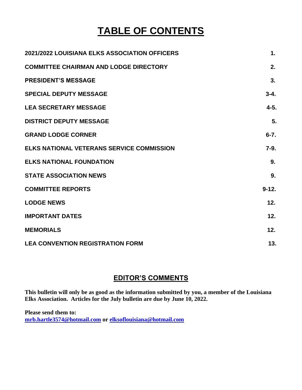# **TABLE OF CONTENTS**

| 2021/2022 LOUISIANA ELKS ASSOCIATION OFFICERS    | $\mathbf 1$ . |
|--------------------------------------------------|---------------|
| <b>COMMITTEE CHAIRMAN AND LODGE DIRECTORY</b>    | 2.            |
| <b>PRESIDENT'S MESSAGE</b>                       | 3.            |
| <b>SPECIAL DEPUTY MESSAGE</b>                    | $3 - 4.$      |
| <b>LEA SECRETARY MESSAGE</b>                     | $4 - 5.$      |
| <b>DISTRICT DEPUTY MESSAGE</b>                   | 5.            |
| <b>GRAND LODGE CORNER</b>                        | $6 - 7$ .     |
| <b>ELKS NATIONAL VETERANS SERVICE COMMISSION</b> | $7-9.$        |
| <b>ELKS NATIONAL FOUNDATION</b>                  | 9.            |
| <b>STATE ASSOCIATION NEWS</b>                    | 9.            |
| <b>COMMITTEE REPORTS</b>                         | $9 - 12.$     |
| <b>LODGE NEWS</b>                                | 12.           |
| <b>IMPORTANT DATES</b>                           | 12.           |
| <b>MEMORIALS</b>                                 | 12.           |
| <b>LEA CONVENTION REGISTRATION FORM</b>          | 13.           |

# **EDITOR'S COMMENTS**

**This bulletin will only be as good as the information submitted by you, a member of the Louisiana Elks Association. Articles for the July bulletin are due by June 10, 2022.** 

**Please send them to: [mrb.hartle3574@hotmail.com](mailto:mrb.hartle3574@hotmail.com) or [elksoflouisiana@hotmail.com](mailto:elksoflouisiana@hotmail.com)**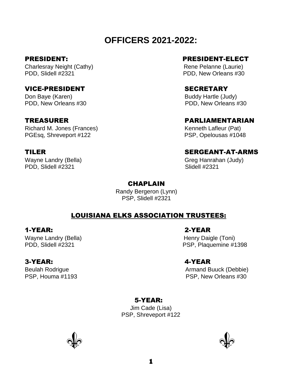# **OFFICERS 2021-2022:**

Charlesray Neight (Cathy) **Rene Pelanne (Laurie)** Rene Pelanne (Laurie) PDD, Slidell #2321 PDD, New Orleans #30

### VICE-PRESIDENT SECRETARY

Don Baye (Karen) Buddy Hartle (Judy) PDD, New Orleans #30 PDD, New Orleans #30

Richard M. Jones (Frances) Kenneth Lafleur (Pat) PGEsq, Shreveport #122 PSP, Opelousas #1048

PDD, Slidell #2321 Slidell #2321

## PRESIDENT: PRESIDENT-ELECT

### TREASURER PARLIAMENTARIAN

# TILER SERGEANT-AT-ARMS

Wayne Landry (Bella) Greg Hanrahan (Judy)

### **CHAPLAIN**

Randy Bergeron (Lynn) PSP, Slidell #2321

## LOUISIANA ELKS ASSOCIATION TRUSTEES:

## 1-YEAR: 2-YEAR

Wayne Landry (Bella) **Henry Daigle (Toni)** Henry Daigle (Toni)

## 3-YEAR: 4-YEAR

PDD, Slidell #2321 PDD, Slidell #2321

Beulah Rodrigue **Armand Buuck** (Debbie) PSP, Houma #1193 PSP, New Orleans #30

# 5-YEAR:

Jim Cade (Lisa) PSP, Shreveport #122



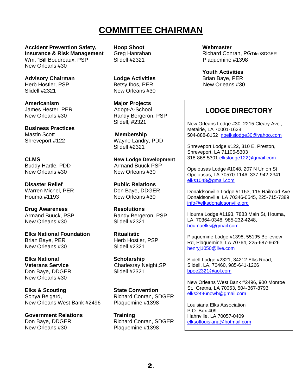# **COMMITTEE CHAIRMAN**

**Accident Prevention Safety, Hoop Shoot Webmaster Insurance & Risk Management** Greg Hanrahan **Richard Conran, PGTiler/SDGER** Wm, "Bill Boudreaux, PSP Slidell #2321 Plaquemine #1398 New Orleans #30

**Advisory Chairman Lodge Activities** Brian Baye, PER<br>
Herb Hostler. PSP Betsy lbos. PER New Orleans #30 Herb Hostler, PSP<br>Slidell #2321

**Americanism Major Projects** James Hester, PER Adopt-A-School

**Business Practices**  Mastin Scott **Membership** 

New Orleans #30 New Orleans #30

**Disaster Relief Public Relations** Warren Michel, PER Don Baye, DDGER Houma #1193 New Orleans #30

**Drug Awareness Resolutions** New Orleans #30 Slidell #2321

**Elks National Foundation Ritualistic** Brian Baye, PER Herb Hostler, PSP New Orleans #30 Slidell #2321

**Elks National Scholarship** Don Baye, DDGER New Orleans #30

**Elks & Scouting State Convention** Sonya Belgard, The Context Richard Conran, SDGER New Orleans West Bank #2496 Plaquemine #1398

**Government Relations Training** New Orleans #30 Plaquemine #1398

New Orleans #30

New Orleans #30 Randy Bergeron, PSP Slidell, #2321

Shreveport #122 Wayne Landry, PDD Slidell #2321

**CLMS New Lodge Development** Buddy Hartle, PDD Armand Buuck PSP

Armand Buuck, PSP Randy Bergeron, PSP

**Veterans Service**<br>
Don Bave. DDGER<br>
Charlesray Neight, SP<br>
Slidell #2321

Don Baye, DDGER Richard Conran, SDGER

**Youth Activities**

# **LODGE DIRECTORY**

New Orleans Lodge #30, 2215 Cleary Ave., Metairie, LA 70001-1628 504-888-8152 [noelkslodge30@yahoo.com](mailto:noelkslodge30@yahoo.com)

Shreveport Lodge #122, 310 E. Preston, Shreveport, LA 71105-5303 318-868-5301 [elkslodge122@gmail.com](mailto:elkslodge122@gmail.com)

Opelousas Lodge #1048, 207 N Union St Opelousas, LA 70570-1146, 337-942-2341 [elks1048@gmail.com](mailto:elks1048@gmail.com)

Donaldsonville Lodge #1153, 115 Railroad Ave Donaldsonville, LA 70346-0545, 225-715-7389 [info@elksdonaldsonville.org](mailto:info@elksdonaldsonville.org)

Houma Lodge #1193, 7883 Main St, Houma, LA. 70364-0348, 985-232-4248, [houmaelks@gmail.com](mailto:houmaelks@gmail.com)

Plaquemine Lodge #1398, 55195 Belleview Rd, Plaquemine, LA 70764, 225-687-6626 [henryj1050@live.com](mailto:henryj1050@live.com)

Slidell Lodge #2321, 34212 Elks Road, Slidell, LA. 70460, 985-641-1266 [bpoe2321@aol.com](mailto:bpoe2321@aol.com)

New Orleans West Bank #2496, 900 Monroe St., Gretna, LA 70053, 504-367-8793 [elks2496nowb@gmail.com](mailto:elks2496nowb@gmail.com)

Louisiana Elks Association P.O. Box 409 Hahnville, LA 70057-0409 [elksoflouisiana@hotmail.com](mailto:elksoflouisiana@hotmail.com)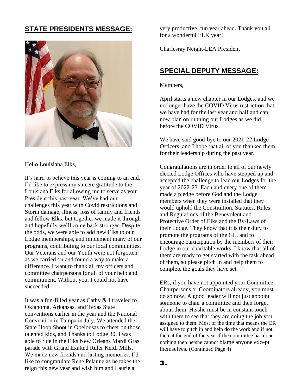# **STATE PRESIDENTS MESSAGE:**



Hello Louisiana Elks,

It's hard to believe this year is coming to an end. I'd like to express my sincere gratitude to the Louisiana Elks for allowing me to serve as your President this past year. We've had our challenges this year with Covid restrictions and Storm damage, illness, loss of family and friends and fellow Elks, but together we made it through and hopefully we'll come back stronger. Despite the odds, we were able to add new Elks to our Lodge memberships, and implement many of our programs, contributing to our local communities. Our Veterans and our Youth were not forgotten as we carried on and found a way to make a difference. I want to thank all my officers and committee chairpersons for all of your help and commitment. Without you, I could not have succeeded.

It was a fun-filled year as Cathy & I traveled to Oklahoma, Arkansas, and Texas State conventions earlier in the year and the National Convention in Tampa in July. We attended the State Hoop Shoot in Opelousas to cheer on those talented kids, and Thanks to Lodge 30, I was able to ride in the Elks New Orleans Mardi Gras parade with Grand Exalted Ruler Keith Mills. We made new friends and lasting memories. I'd like to congratulate Rene Pelanne as he takes the reign this new year and wish him and Laurie a

very productive, fun year ahead. Thank you all for a wonderful ELK year!

Charlesray Neight-LEA President

# **SPECIAL DEPUTY MESSAGE:**

Members,

April starts a new chapter in our Lodges, and we no longer have the COVID Virus restriction that we have had for the last year and half and can now plan on running our Lodges as we did before the COVID Virus.

We have said good-bye to our 2021-22 Lodge Officers, and I hope that all of you thanked them for their leadership during the past year.

Congratulations are in order to all of our newly elected Lodge Offices who have stepped up and accepted the challenge to lead our Lodges for the year of 2022-23. Each and every one of them made a pledge before God and the Lodge members when they were installed that they would uphold the Constitution, Statutes, Rules and Regulations of the Benevolent and Protective Order of Elks and the By-Laws of their Lodge. They know that it is their duty to promote the programs of the GL, and to encourage participation by the members of their Lodge in our charitable works. I know that all of them are ready to get started with the task ahead of them, so please pitch in and help them to complete the goals they have set.

ERs, if you have not appointed your Committee Chairpersons or Coordinators already, you must do so now. A good leader will not just appoint someone to chair a committee and then forget about them. He/she must be in constant touch with them to see that they are doing the job you assigned to them. Most of the time that means the ER will have to pitch in and help do the work and if not, then at the end of the year if the committee has done nothing then he/she cannot blame anyone except themselves. (Continued Page 4)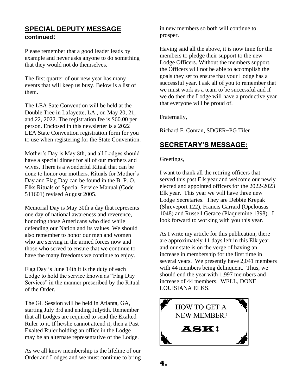## **SPECIAL DEPUTY MESSAGE continued:**

Please remember that a good leader leads by example and never asks anyone to do something that they would not do themselves.

The first quarter of our new year has many events that will keep us busy. Below is a list of them.

The LEA Sate Convention will be held at the Double Tree in Lafayette, LA., on May 20, 21, and 22, 2022. The registration fee is \$60.00 per person. Enclosed in this newsletter is a 2022 LEA State Convention registration form for you to use when registering for the State Convention.

Mother's Day is May 8th, and all Lodges should have a special dinner for all of our mothers and wives. There is a wonderful Ritual that can be done to honor our mothers. Rituals for Mother's Day and Flag Day can be found in the B. P. O. Elks Rituals of Special Service Manual (Code 511601) revised August 2005.

Memorial Day is May 30th a day that represents one day of national awareness and reverence, honoring those Americans who died while defending our Nation and its values. We should also remember to honor our men and women who are serving in the armed forces now and those who served to ensure that we continue to have the many freedoms we continue to enjoy.

Flag Day is June 14th it is the duty of each Lodge to hold the service known as "Flag Day Services" in the manner prescribed by the Ritual of the Order.

The GL Session will be held in Atlanta, GA, starting July 3rd and ending July6th. Remember that all Lodges are required to send the Exalted Ruler to it. If he/she cannot attend it, then a Past Exalted Ruler holding an office in the Lodge may be an alternate representative of the Lodge.

As we all know membership is the lifeline of our Order and Lodges and we must continue to bring

in new members so both will continue to prosper.

Having said all the above, it is now time for the members to pledge their support to the new Lodge Officers. Without the members support, the Officers will not be able to accomplish the goals they set to ensure that your Lodge has a successful year. I ask all of you to remember that we must work as a team to be successful and if we do then the Lodge will have a productive year that everyone will be proud of.

Fraternally,

Richard F. Conran, SDGER~PG Tiler

# **SECRETARY'S MESSAGE:**

Greetings,

I want to thank all the retiring officers that served this past Elk year and welcome our newly elected and appointed officers for the 2022-2023 Elk year. This year we will have three new Lodge Secretaries. They are Debbie Krepak (Shreveport 122), Francis Garrard (Opelousas 1048) and Russell Gerace (Plaquemine 1398). I look forward to working with you this year.

As I write my article for this publication, there are approximately 11 days left in this Elk year, and our state is on the verge of having an increase in membership for the first time in several years. We presently have 2,041 members with 44 members being delinquent. Thus, we should end the year with 1,997 members and increase of 44 members. WELL, DONE LOUISIANA ELKS.

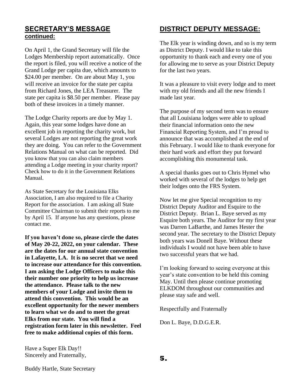### **SECRETARY'S MESSAGE continued:**

On April 1, the Grand Secretary will file the Lodges Membership report automatically. Once the report is filed, you will receive a notice of the Grand Lodge per capita due, which amounts to \$24.00 per member. On are about May 1, you will receive an invoice for the state per capita from Richard Jones, the LEA Treasurer. The state per capita is \$8.50 per member. Please pay both of these invoices in a timely manner.

The Lodge Charity reports are due by May 1. Again, this year some lodges have done an excellent job in reporting the charity work, but several Lodges are not reporting the great work they are doing. You can refer to the Government Relations Manual on what can be reported. Did you know that you can also claim members attending a Lodge meeting in your charity report? Check how to do it in the Government Relations Manual.

As State Secretary for the Louisiana Elks Association, I am also required to file a Charity Report for the association. I am asking all State Committee Chairman to submit their reports to me by April 15. If anyone has any questions, please contact me.

**If you haven't done so, please circle the dates of May 20-22, 2022, on your calendar. These are the dates for our annual state convention in Lafayette, LA. It is no secret that we need to increase our attendance for this convention. I am asking the Lodge Officers to make this their number one priority to help us increase the attendance. Please talk to the new members of your Lodge and invite them to attend this convention. This would be an excellent opportunity for the newer members to learn what we do and to meet the great Elks from our state. You will find a registration form later in this newsletter. Feel free to make additional copies of this form.**

**DISTRICT DEPUTY MESSAGE:**

The Elk year is winding down, and so is my term as District Deputy. I would like to take this opportunity to thank each and every one of you for allowing me to serve as your District Deputy for the last two years.

It was a pleasure to visit every lodge and to meet with my old friends and all the new friends I made last year.

The purpose of my second term was to ensure that all Louisiana lodges were able to upload their financial information onto the new Financial Reporting System, and I'm proud to announce that was accomplished at the end of this February. I would like to thank everyone for their hard work and effort they put forward accomplishing this monumental task.

A special thanks goes out to Chris Hymel who worked with several of the lodges to help get their lodges onto the FRS System.

Now let me give Special recognition to my District Deputy Auditor and Esquire to the District Deputy. Brian L. Baye served as my Esquire both years. The Auditor for my first year was Darren LaBarthe, and James Hester the second year. The secretary to the District Deputy both years was Donell Baye. Without these individuals I would not have been able to have two successful years that we had.

I'm looking forward to seeing everyone at this year's state convention to be held this coming May. Until then please continue promoting ELKDOM throughout our communities and please stay safe and well.

Respectfully and Fraternally

Don L. Baye, D.D.G.E.R.

Have a Super Elk Day!! Sincerely and Fraternally,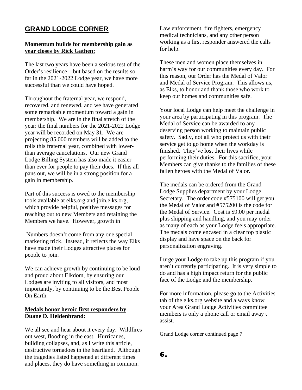# **GRAND LODGE CORNER**

#### **Momentum builds for membership gain as year closes by Rick Gathen:**

The last two years have been a serious test of the Order's resilience—but based on the results so far in the 2021-2022 Lodge year, we have more successful than we could have hoped.

Throughout the fraternal year, we respond, recovered, and renewed, and we have generated some remarkable momentum toward a gain in membership. We are in the final stretch of the year: the final numbers for the 2021-2022 Lodge year will be recorded on May 31. We are projecting 85,000 members will be added to the rolls this fraternal year, combined with lowerthan average cancelations. Our new Grand Lodge Billing System has also made it easier than ever for people to pay their dues. If this all pans out, we will be in a strong position for a gain in membership.

Part of this success is owed to the membership tools available at elks.org and join.elks.org, which provide helpful, positive messages for reaching out to new Members and retaining the Members we have. However, growth in

Numbers doesn't come from any one special marketing trick. Instead, it reflects the way Elks have made their Lodges attractive places for people to join.

We can achieve growth by continuing to be loud and proud about Elkdom, by ensuring our Lodges are inviting to all visitors, and most importantly, by continuing to be the Best People On Earth.

#### **Medals honor heroic first responders by Duane D. Heldenbrand:**

We all see and hear about it every day. Wildfires out west, flooding in the east. Hurricanes, building collapses, and, as I write this article, destructive tornadoes in the heartland. Although the tragedies listed happened at different times and places, they do have something in common.

Law enforcement, fire fighters, emergency medical technicians, and any other person working as a first responder answered the calls for help.

These men and women place themselves in harm's way for our communities every day. For this reason, our Order has the Medal of Valor and Medal of Service Program. This allows us, as Elks, to honor and thank those who work to keep our homes and communities safe.

Your local Lodge can help meet the challenge in your area by participating in this program. The Medal of Service can be awarded to any deserving person working to maintain public safety. Sadly, not all who protect us with their service get to go home when the workday is finished. They've lost their lives while performing their duties. For this sacrifice, your Members can give thanks to the families of these fallen heroes with the Medal of Valor.

The medals can be ordered from the Grand Lodge Supplies department by your Lodge Secretary. The order code #575100 will get you the Medal of Valor and #575200 is the code for the Medal of Service. Cost is \$9.00 per medal plus shipping and handling, and you may order as many of each as your Lodge feels appropriate. The medals come encased in a clear top plastic display and have space on the back for personalization engraving.

I urge your Lodge to take up this program if you aren't currently participating. It is very simple to do and has a high impact return for the public face of the Lodge and the membership.

For more information, please go to the Activities tab of the elks.org website and always know your Area Grand Lodge Activities committee members is only a phone call or email away t assist.

Grand Lodge corner continued page 7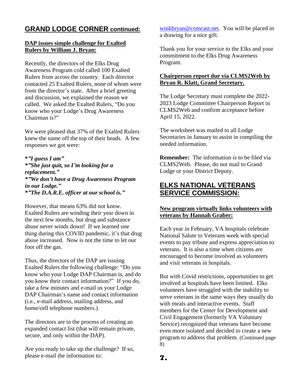# **GRAND LODGE CORNER continued:**

#### **DAP issues simple challenge for Exalted Rulers by William J. Bryan:**

Recently, the directors of the Elks Drug Awareness Program cold called 100 Exalted Rulers from across the country. Each director contacted 25 Exalted Rulers, none of whom were from the director's state. After a brief greeting and discussion, we explained the reason we called. We asked the Exalted Rulers, "Do you know who your Lodge's Drug Awareness Chairman is?"

We were pleased that 37% of the Exalted Rulers knew the name off the top of their heads. A few responses we got were:

**\****"I guess I am" \*"She just quit, so I'm looking for a replacement." \*"We don't have a Drug Awareness Program in our Lodge." \*"The D.A.R.E. officer at our school is."*

However, that means 63% did not know. Exalted Rulers are winding their year down in the next few months, but drug and substance abuse never winds down! If we learned one thing during this COVID pandemic, it's that drug abuse increased. Now is not the time to let our foot off the gas.

Thus, the directors of the DAP are issuing Exalted Rulers the following challenge: "Do you know who your Lodge DAP Chairman is, and do you know their contact information?" If you do, take a few minutes and e-mail us your Lodge DAP Chairman's name and contact information (i.e., e-mail address, mailing address, and home/cell telephone numbers.)

The directors are in the process of creating an expanded contact list (that will remain private, secure, and only within the DAP).

Are you ready to take up the challenge? If so, please e-mail the information to:

[winkbryan@comcast.net.](mailto:winkbryan@comcast.net) You will be placed in a drawing for a nice gift.

Thank you for your service to the Elks and your commitment to the Elks Drug Awareness Program.

#### **Chairperson report due via CLMS2Web by Bryan R. Klatt, Grand Secretary.**

The Lodge Secretary must complete the 2022- 2023 Lodge Committee Chairperson Report in CLMS2Web and confirm acceptance before April 15, 2022.

The worksheet was mailed to all Lodge Secretaries in January to assist in compiling the needed information.

**Remember:** The information is to be filed via CLMS2Web. Please, do not mail to Grand Lodge or your District Deputy.

# **ELKS NATIONAL VETERANS SERVICE COMMISSION:**

#### **New program virtually links volunteers with veterans by Hannah Graber:**

Each year in February, VA hospitals celebrate National Salute to Veterans week with special events to pay tribute and express appreciation to veterans. It is also a time when citizens are encouraged to become involved as volunteers and visit veterans in hospitals.

But with Covid restrictions, opportunities to get involved at hospitals have been limited. Elks volunteers have struggled with the inability to serve veterans in the same ways they usually do with meals and interactive events. Staff members for the Center for Development and Civil Engagement (formerly VA Voluntary Service) recognized that veterans have become even more isolated and decided to create a new program to address that problem. (Continued page 8)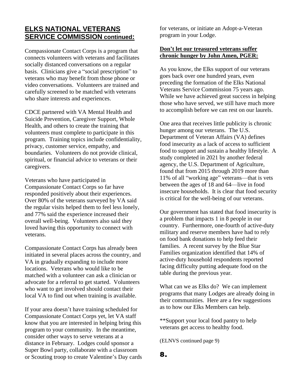# **ELKS NATIONAL VETERANS SERVICE COMMISSION continued:**

Compassionate Contact Corps is a program that connects volunteers with veterans and facilitates socially distanced conversations on a regular basis. Clinicians give a "social prescription" to veterans who may benefit from those phone or video conversations. Volunteers are trained and carefully screened to be matched with veterans who share interests and experiences.

CDCE partnered with VA Mental Health and Suicide Prevention, Caregiver Support, Whole Health, and others to create the training that volunteers must complete to participate in this program. Training topics include confidentiality, privacy, customer service, empathy, and boundaries. Volunteers do not provide clinical, spiritual, or financial advice to veterans or their caregivers.

Veterans who have participated in Compassionate Contact Corps so far have responded positively about their experiences. Over 80% of the veterans surveyed by VA said the regular visits helped them to feel less lonely, and 77% said the experience increased their overall well-being. Volunteers also said they loved having this opportunity to connect with veterans.

Compassionate Contact Corps has already been initiated in several places across the country, and VA in gradually expanding to include more locations. Veterans who would like to be matched with a volunteer can ask a clinician or advocate for a referral to get started. Volunteers who want to get involved should contact their local VA to find out when training is available.

If your area doesn't have training scheduled for Compassionate Contact Corps yet, let VA staff know that you are interested in helping bring this program to your community. In the meantime, consider other ways to serve veterans at a distance in February. Lodges could sponsor a Super Bowl party, collaborate with a classroom or Scouting troop to create Valentine's Day cards for veterans, or initiate an Adopt-a-Veteran program in your Lodge.

#### **Don't let our treasured veterans suffer chronic hunger by John Amen, PGER:**

As you know, the Elks support of our veterans goes back over one hundred years, even preceding the formation of the Elks National Veterans Service Commission 75 years ago. While we have achieved great success in helping those who have served, we still have much more to accomplish before we can rest on our laurels.

One area that receives little publicity is chronic hunger among our veterans. The U.S. Department of Veteran Affairs (VA) defines food insecurity as a lack of access to sufficient food to support and sustain a healthy lifestyle. A study completed in 2021 by another federal agency, the U.S. Department of Agriculture, found that from 2015 through 2019 more than 11% of all "working age" veterans—that is vets between the ages of 18 and 64—live in food insecure households. It is clear that food security is critical for the well-being of our veterans.

Our government has stated that food insecurity is a problem that impacts 1 in 8 people in our country. Furthermore, one-fourth of active-duty military and reserve members have had to rely on food bank donations to help feed their families. A recent survey by the Blue Star Families organization identified that 14% of active-duty household respondents reported facing difficulty putting adequate food on the table during the previous year.

What can we as Elks do? We can implement programs that many Lodges are already doing in their communities. Here are a few suggestions as to how our Elks Members can help.

\*\*Support your local food pantry to help veterans get access to healthy food.

(ELNVS continued page 9)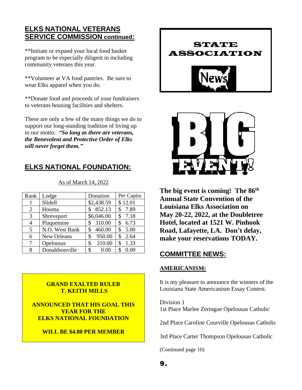# **ELKS NATIONAL VETERANS SERVICE COMMISSION continued:**

\*\*Initiate or expand your local food basket program to be especially diligent in including community veterans this year.

\*\*Volunteer at VA food pantries. Be sure to wear Elks apparel when you do.

\*\*Donate food and proceeds of your fundraisers to veterans housing facilities and shelters.

These are only a few of the many things we do to support our long-standing tradition of living up to our motto: *"So long as there are veterans, the Benevolent and Protective Order of Elks will never forget them."*

# **ELKS NATIONAL FOUNDATION:**

| Rank | Lodge          | Donation     | Per Capita |
|------|----------------|--------------|------------|
|      | Slidell        | \$2,438.59   | \$12.01    |
| 2    | Houma          | 852.13       | 7.89       |
| 3    | Shreveport     | \$6,046.00   | 7.18<br>\$ |
| 4    | Plaquemine     | 310.00<br>\$ | 6.73<br>\$ |
| 5    | N.O. West Bank | 460.00<br>\$ | 5.00<br>\$ |
| 6    | New Orleans    | 950.00<br>\$ | 2.64<br>\$ |
| 7    | Opelousas      | 310.00<br>\$ | 1.33<br>\$ |
| 8    | Donaldsonville | 0.00<br>\$   | 0.00       |

As of March 14, 2022

### **GRAND EXALTED RULER T. KEITH MILLS**

**ANNOUNCED THAT HIS GOAL THIS YEAR FOR THE ELKS NATIONAL FOUNDATION** 

### **WILL BE \$4.80 PER MEMBER**





**The big event is coming! The 86th Annual State Convention of the Louisiana Elks Association on May 20-22, 2022, at the Doubletree Hotel, located at 1521 W. Pinhook Road, Lafayette, LA. Don't delay, make your reservations TODAY.**

# **COMMITTEE NEWS:**

#### **AMERICANISM:**

It is my pleasure to announce the winners of the Louisiana State Americanism Essay Contest.

Division 1 1st Place Marlee Zeringue Opelousas Catholic

2nd Place Caroline Courville Opelousas Catholic

3rd Place Carter Thompson Opelousas Catholic

(Continued page 10)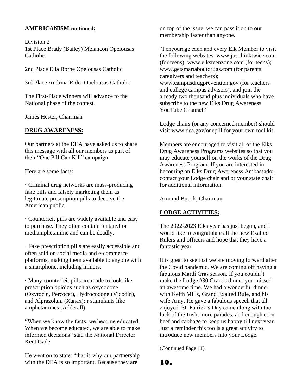#### **AMERICANISM continued:**

Division 2 1st Place Brady (Bailey) Melancon Opelousas Catholic

2nd Place Ella Borne Opelousas Catholic

3rd Place Audrina Rider Opelousas Catholic

The First-Place winners will advance to the National phase of the contest.

James Hester, Chairman

### **DRUG AWARENESS:**

Our partners at the DEA have asked us to share this message with all our members as part of their "One Pill Can Kill" campaign.

Here are some facts:

· Criminal drug networks are mass-producing fake pills and falsely marketing them as legitimate prescription pills to deceive the American public.

· Counterfeit pills are widely available and easy to purchase. They often contain fentanyl or methamphetamine and can be deadly.

· Fake prescription pills are easily accessible and often sold on social media and e-commerce platforms, making them available to anyone with a smartphone, including minors.

· Many counterfeit pills are made to look like prescription opioids such as oxycodone (Oxytocin, Percocet), Hydrocodone (Vicodin), and Alprazolam (Xanax); r stimulants like amphetamines (Adderall).

"When we know the facts, we become educated. When we become educated, we are able to make informed decisions" said the National Director Kent Gade.

He went on to state: "that is why our partnership with the DEA is so important. Because they are

on top of the issue, we can pass it on to our membership faster than anyone.

"I encourage each and every Elk Member to visit the following websites: www.justthinktwice.com (for teens); www.elksteenzone.com (for teens); www.getsmartaboutdrugs.com (for parents, caregivers and teachers); www.campusdrugprevention.gov (for teachers and college campus advisors); and join the already two thousand plus individuals who have subscribe to the new Elks Drug Awareness YouTube Channel."

Lodge chairs (or any concerned member) should visit www.dea.gov/onepill for your own tool kit.

Members are encouraged to visit all of the Elks Drug Awareness Programs websites so that you may educate yourself on the works of the Drug Awareness Program. If you are interested in becoming an Elks Drug Awareness Ambassador, contact your Lodge chair and or your state chair for additional information.

Armand Buuck, Chairman

## **LODGE ACTIVITIES:**

The 2022-2023 Elks year has just begun, and I would like to congratulate all the new Exalted Rulers and officers and hope that they have a fantastic year.

It is great to see that we are moving forward after the Covid pandemic. We are coming off having a fabulous Mardi Gras season. If you couldn't make the Lodge #30 Grands dinner you missed an awesome time. We had a wonderful dinner with Keith Mills, Grand Exalted Rule, and his wife Amy. He gave a fabulous speech that all enjoyed. St. Patrick's Day came along with the luck of the Irish, more parades, and enough corn beef and cabbage to keep us happy till next year. Just a reminder this too is a great activity to introduce new members into your Lodge.

(Continued Page 11)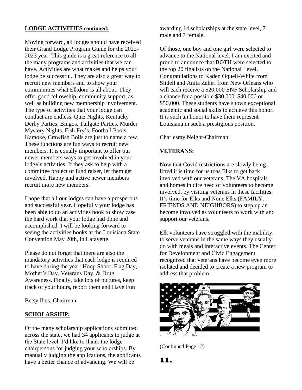#### **LODGE ACTIVITIES continued:**

Moving forward, all lodges should have received their Grand Lodge Program Guide for the 2022- 2023 year. This guide is a great reference to all the many programs and activities that we can have. Activities are what makes and helps your lodge be successful. They are also a great way to recruit new members and to show your communities what Elkdom is all about. They offer good fellowship, community support, as well as building new membership involvement. The type of activities that your lodge can conduct are endless. Quiz Nights, Kentucky Derby Parties, Bingos, Tailgate Parties, Murder Mystery Nights, Fish Fry's, Football Pools, Karaoke, Crawfish Boils are just to name a few. These functions are fun ways to recruit new members. It is equally important to offer our newer members ways to get involved in your lodge's activities. If they ask to help with a committee project or fund raiser, let them get involved. Happy and active newer members recruit more new members.

I hope that all our lodges can have a prosperous and successful year. Hopefully your lodge has been able to do an activities book to show case the hard work that your lodge had done and accomplished. I will be looking forward to seeing the activities books at the Louisiana State Convention May 20th, in Lafayette.

Please do not forget that there are also the mandatory activities that each lodge is required to have during the year: Hoop Shoot, Flag Day, Mother's Day, Veterans Day, & Drug Awareness. Finally, take lots of pictures, keep track of your hours, report them and Have Fun!

Betsy Ibos, Chairman

### **SCHOLARSHIP:**

Of the many scholarship applications submitted across the state, we had 34 applicants to judge at the State level. I'd like to thank the lodge chairpersons for judging your scholarships. By manually judging the applications, the applicants have a better chance of advancing. We will be

awarding 14 scholarships at the state level, 7 male and 7 female.

Of those, one boy and one girl were selected to advance to the National level. I am excited and proud to announce that BOTH were selected to the top 20 finalists on the National Level. Congratulations to Kaden Oqueli-White from Slidell and Anita Zahiri from New Orleans who will each receive a \$20,000 ENF Scholarship and a chance for a possible \$30,000, \$40,000 or \$50,000. These students have shown exceptional academic and social skills to achieve this honor. It is such an honor to have them represent Louisiana in such a prestigious position.

Charlesray Neight-Chairman

### **VETERANS:**

Now that Covid restrictions are slowly being lifted it is time for us toas Elks to get back involved with our veterans. The VA hospitals and homes in dire need of volunteers to become involved, by visiting veterans in these facilities. It's time for Elks and None Elks (FAMILY, FRIENDS AND NEIGHBORS) to step up an become involved as volunteers to work with and support our veterans.

Elk volunteers have struggled with the inability to serve veterans in the same ways they usually do with meals and interactive events. The Center for Development and Civic Engagement recognized that veterans have become even more isolated and decided to create a new program to address that problem



(Continued Page 12)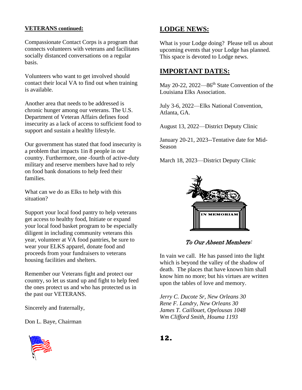#### **VETERANS continued:**

Compassionate Contact Corps is a program that connects volunteers with veterans and facilitates socially distanced conversations on a regular basis.

Volunteers who want to get involved should contact their local VA to find out when training is available.

Another area that needs to be addressed is chronic hunger among our veterans. The U.S. Department of Veteran Affairs defines food insecurity as a lack of access to sufficient food to support and sustain a healthy lifestyle.

Our government has stated that food insecurity is a problem that impacts 1in 8 people in our country. Furthermore, one -fourth of active-duty military and reserve members have had to rely on food bank donations to help feed their families.

What can we do as Elks to help with this situation?

Support your local food pantry to help veterans get access to healthy food, Initiate or expand your local food basket program to be especially diligent in including community veterans this year, volunteer at VA food pantries, be sure to wear your ELKS apparel, donate food and proceeds from your fundraisers to veterans housing facilities and shelters.

Remember our Veterans fight and protect our country, so let us stand up and fight to help feed the ones protect us and who has protected us in the past our VETERANS.

Sincerely and fraternally,

Don L. Baye, Chairman



## **LODGE NEWS:**

What is your Lodge doing? Please tell us about upcoming events that your Lodge has planned. This space is devoted to Lodge news.

## **IMPORTANT DATES:**

May 20-22, 2022—86<sup>th</sup> State Convention of the Louisiana Elks Association.

July 3-6, 2022—Elks National Convention, Atlanta, GA.

August 13, 2022—District Deputy Clinic

January 20-21, 2023--Tentative date for Mid-Season

March 18, 2023—District Deputy Clinic



To Our Absent Members:

In vain we call. He has passed into the light which is beyond the valley of the shadow of death. The places that have known him shall know him no more; but his virtues are written upon the tables of love and memory.

*Jerry C. Ducote Sr, New Orleans 30 Rene F. Landry, New Orleans 30 James T. Caillouet, Opelousas 1048 Wm Clifford Smith, Houma 1193*